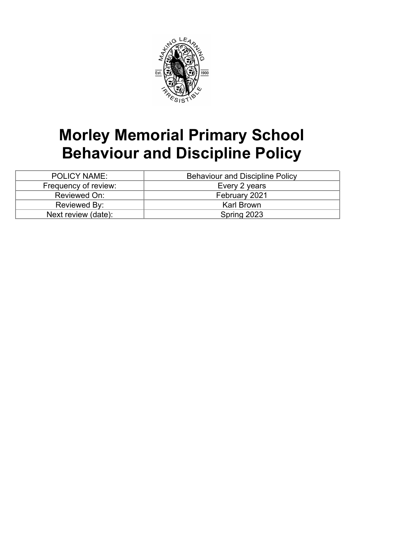

# **Morley Memorial Primary School Behaviour and Discipline Policy**

| <b>POLICY NAME:</b>  | <b>Behaviour and Discipline Policy</b> |
|----------------------|----------------------------------------|
| Frequency of review: | Every 2 years                          |
| Reviewed On:         | February 2021                          |
| Reviewed By:         | <b>Karl Brown</b>                      |
| Next review (date):  | Spring 2023                            |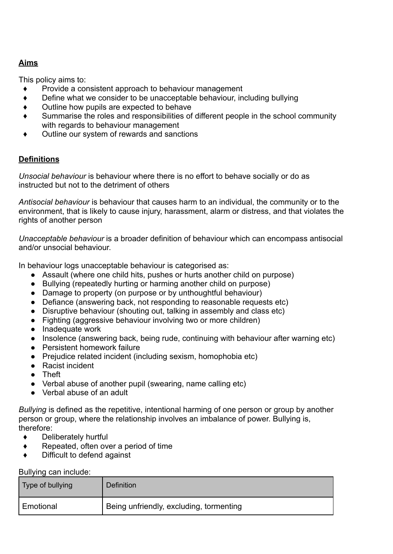## **Aims**

This policy aims to:

- Provide a consistent approach to behaviour management
- Define what we consider to be unacceptable behaviour, including bullying
- ♦ Outline how pupils are expected to behave
- ♦ Summarise the roles and responsibilities of different people in the school community with regards to behaviour management
- ♦ Outline our system of rewards and sanctions

## **Definitions**

*Unsocial behaviour* is behaviour where there is no effort to behave socially or do as instructed but not to the detriment of others

*Antisocial behaviour* is behaviour that causes harm to an individual, the community or to the environment, that is likely to cause injury, harassment, alarm or distress, and that violates the rights of another person

*Unacceptable behaviour* is a broader definition of behaviour which can encompass antisocial and/or unsocial behaviour.

In behaviour logs unacceptable behaviour is categorised as:

- Assault (where one child hits, pushes or hurts another child on purpose)
- Bullying (repeatedly hurting or harming another child on purpose)
- Damage to property (on purpose or by unthoughtful behaviour)
- Defiance (answering back, not responding to reasonable requests etc)
- Disruptive behaviour (shouting out, talking in assembly and class etc)
- Fighting (aggressive behaviour involving two or more children)
- Inadequate work
- Insolence (answering back, being rude, continuing with behaviour after warning etc)
- Persistent homework failure
- Prejudice related incident (including sexism, homophobia etc)
- Racist incident
- Theft
- Verbal abuse of another pupil (swearing, name calling etc)
- Verbal abuse of an adult

*Bullying* is defined as the repetitive, intentional harming of one person or group by another person or group, where the relationship involves an imbalance of power. Bullying is, therefore:

- ♦ Deliberately hurtful
- ♦ Repeated, often over a period of time
- Difficult to defend against

Bullying can include:

| Type of bullying                                       | Definition |
|--------------------------------------------------------|------------|
| Being unfriendly, excluding, tormenting<br>' Emotional |            |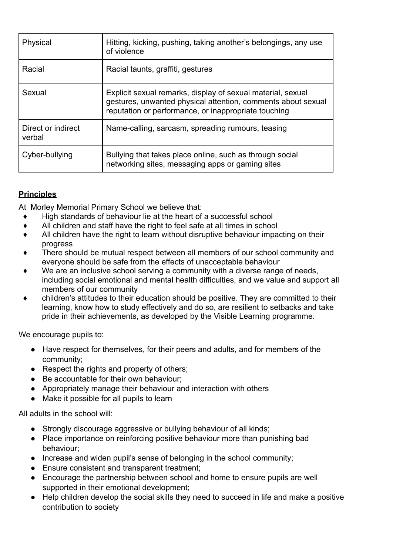| Physical                     | Hitting, kicking, pushing, taking another's belongings, any use<br>of violence                                                                                                      |
|------------------------------|-------------------------------------------------------------------------------------------------------------------------------------------------------------------------------------|
| Racial                       | Racial taunts, graffiti, gestures                                                                                                                                                   |
| Sexual                       | Explicit sexual remarks, display of sexual material, sexual<br>gestures, unwanted physical attention, comments about sexual<br>reputation or performance, or inappropriate touching |
| Direct or indirect<br>verbal | Name-calling, sarcasm, spreading rumours, teasing                                                                                                                                   |
| Cyber-bullying               | Bullying that takes place online, such as through social<br>networking sites, messaging apps or gaming sites                                                                        |

## **Principles**

At Morley Memorial Primary School we believe that:

- High standards of behaviour lie at the heart of a successful school
- ♦ All children and staff have the right to feel safe at all times in school
- All children have the right to learn without disruptive behaviour impacting on their progress
- There should be mutual respect between all members of our school community and everyone should be safe from the effects of unacceptable behaviour
- We are an inclusive school serving a community with a diverse range of needs, including social emotional and mental health difficulties, and we value and support all members of our community
- ♦ children's attitudes to their education should be positive. They are committed to their learning, know how to study effectively and do so, are resilient to setbacks and take pride in their achievements, as developed by the Visible Learning programme.

We encourage pupils to:

- Have respect for themselves, for their peers and adults, and for members of the community;
- Respect the rights and property of others;
- Be accountable for their own behaviour;
- Appropriately manage their behaviour and interaction with others
- Make it possible for all pupils to learn

All adults in the school will:

- Strongly discourage aggressive or bullying behaviour of all kinds;
- Place importance on reinforcing positive behaviour more than punishing bad behaviour;
- Increase and widen pupil's sense of belonging in the school community;
- Ensure consistent and transparent treatment;
- Encourage the partnership between school and home to ensure pupils are well supported in their emotional development;
- Help children develop the social skills they need to succeed in life and make a positive contribution to society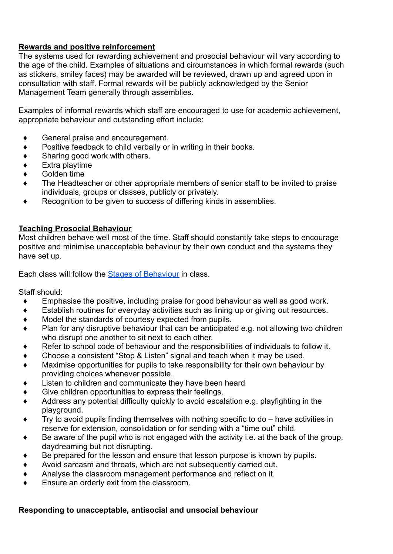#### **Rewards and positive reinforcement**

The systems used for rewarding achievement and prosocial behaviour will vary according to the age of the child. Examples of situations and circumstances in which formal rewards (such as stickers, smiley faces) may be awarded will be reviewed, drawn up and agreed upon in consultation with staff. Formal rewards will be publicly acknowledged by the Senior Management Team generally through assemblies.

Examples of informal rewards which staff are encouraged to use for academic achievement, appropriate behaviour and outstanding effort include:

- ♦ General praise and encouragement.
- Positive feedback to child verbally or in writing in their books.
- Sharing good work with others.
- Extra playtime
- Golden time
- The Headteacher or other appropriate members of senior staff to be invited to praise individuals, groups or classes, publicly or privately.
- Recognition to be given to success of differing kinds in assemblies.

#### **Teaching Prosocial Behaviour**

Most children behave well most of the time. Staff should constantly take steps to encourage positive and minimise unacceptable behaviour by their own conduct and the systems they have set up.

Each class will follow the **[Stages of Behaviour](https://docs.google.com/document/d/1NcmrEVRlL0xMynv0osz-0yj5oIV8_vhl/edit)** in class.

Staff should:

- ♦ Emphasise the positive, including praise for good behaviour as well as good work.
- Establish routines for everyday activities such as lining up or giving out resources.
- Model the standards of courtesy expected from pupils.
- Plan for any disruptive behaviour that can be anticipated e.g. not allowing two children who disrupt one another to sit next to each other.
- Refer to school code of behaviour and the responsibilities of individuals to follow it.
- Choose a consistent "Stop & Listen" signal and teach when it may be used.
- Maximise opportunities for pupils to take responsibility for their own behaviour by providing choices whenever possible.
- Listen to children and communicate they have been heard
- Give children opportunities to express their feelings.
- Address any potential difficulty quickly to avoid escalation e.g. playfighting in the playground.
- Try to avoid pupils finding themselves with nothing specific to do  $-$  have activities in reserve for extension, consolidation or for sending with a "time out" child.
- Be aware of the pupil who is not engaged with the activity i.e. at the back of the group, daydreaming but not disrupting.
- Be prepared for the lesson and ensure that lesson purpose is known by pupils.
- Avoid sarcasm and threats, which are not subsequently carried out.
- Analyse the classroom management performance and reflect on it.
- Ensure an orderly exit from the classroom.

### **Responding to unacceptable, antisocial and unsocial behaviour**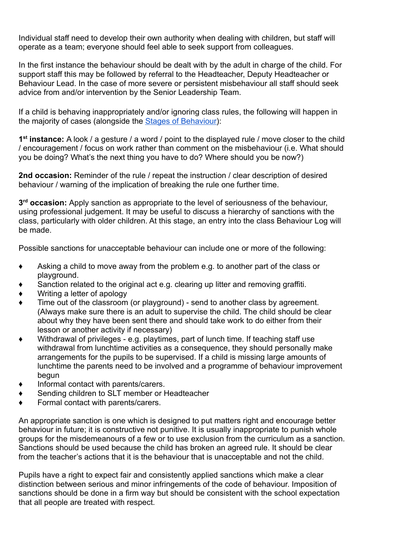Individual staff need to develop their own authority when dealing with children, but staff will operate as a team; everyone should feel able to seek support from colleagues.

In the first instance the behaviour should be dealt with by the adult in charge of the child. For support staff this may be followed by referral to the Headteacher, Deputy Headteacher or Behaviour Lead. In the case of more severe or persistent misbehaviour all staff should seek advice from and/or intervention by the Senior Leadership Team.

If a child is behaving inappropriately and/or ignoring class rules, the following will happen in the majority of cases (alongside the [Stages of Behaviour\)](https://docs.google.com/document/d/1NcmrEVRlL0xMynv0osz-0yj5oIV8_vhl/edit):

**1 st instance:** A look / a gesture / a word / point to the displayed rule / move closer to the child / encouragement / focus on work rather than comment on the misbehaviour (i.e. What should you be doing? What's the next thing you have to do? Where should you be now?)

**2nd occasion:** Reminder of the rule / repeat the instruction / clear description of desired behaviour / warning of the implication of breaking the rule one further time.

**3 rd occasion:** Apply sanction as appropriate to the level of seriousness of the behaviour, using professional judgement. It may be useful to discuss a hierarchy of sanctions with the class, particularly with older children. At this stage, an entry into the class Behaviour Log will be made.

Possible sanctions for unacceptable behaviour can include one or more of the following:

- $\bullet$  Asking a child to move away from the problem e.g. to another part of the class or playground.
- Sanction related to the original act e.g. clearing up litter and removing graffiti.
- Writing a letter of apology
- Time out of the classroom (or playground) send to another class by agreement. (Always make sure there is an adult to supervise the child. The child should be clear about why they have been sent there and should take work to do either from their lesson or another activity if necessary)
- $\bullet$  Withdrawal of privileges e.g. playtimes, part of lunch time. If teaching staff use withdrawal from lunchtime activities as a consequence, they should personally make arrangements for the pupils to be supervised. If a child is missing large amounts of lunchtime the parents need to be involved and a programme of behaviour improvement begun
- ♦ Informal contact with parents/carers.
- Sending children to SLT member or Headteacher
- Formal contact with parents/carers.

An appropriate sanction is one which is designed to put matters right and encourage better behaviour in future; it is constructive not punitive. It is usually inappropriate to punish whole groups for the misdemeanours of a few or to use exclusion from the curriculum as a sanction. Sanctions should be used because the child has broken an agreed rule. It should be clear from the teacher's actions that it is the behaviour that is unacceptable and not the child.

Pupils have a right to expect fair and consistently applied sanctions which make a clear distinction between serious and minor infringements of the code of behaviour. Imposition of sanctions should be done in a firm way but should be consistent with the school expectation that all people are treated with respect.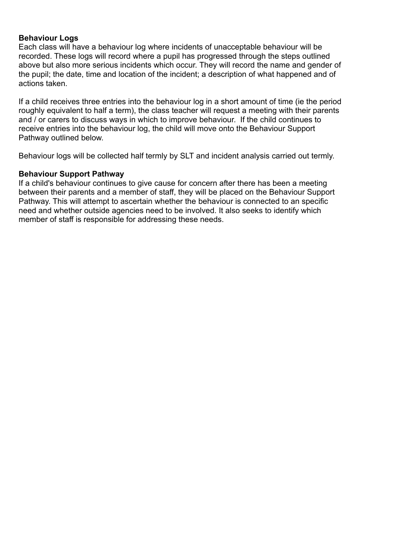#### **Behaviour Logs**

Each class will have a behaviour log where incidents of unacceptable behaviour will be recorded. These logs will record where a pupil has progressed through the steps outlined above but also more serious incidents which occur. They will record the name and gender of the pupil; the date, time and location of the incident; a description of what happened and of actions taken.

If a child receives three entries into the behaviour log in a short amount of time (ie the period roughly equivalent to half a term), the class teacher will request a meeting with their parents and / or carers to discuss ways in which to improve behaviour. If the child continues to receive entries into the behaviour log, the child will move onto the Behaviour Support Pathway outlined below.

Behaviour logs will be collected half termly by SLT and incident analysis carried out termly.

#### **Behaviour Support Pathway**

If a child's behaviour continues to give cause for concern after there has been a meeting between their parents and a member of staff, they will be placed on the Behaviour Support Pathway. This will attempt to ascertain whether the behaviour is connected to an specific need and whether outside agencies need to be involved. It also seeks to identify which member of staff is responsible for addressing these needs.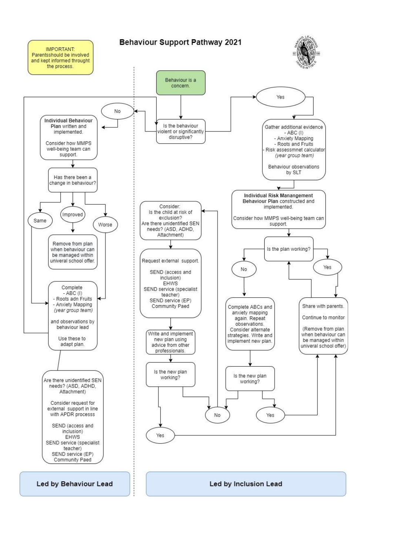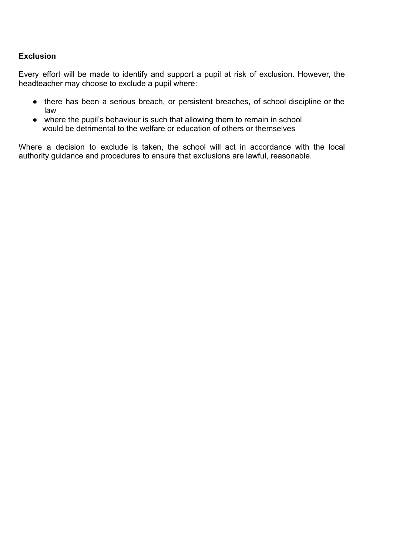#### **Exclusion**

Every effort will be made to identify and support a pupil at risk of exclusion. However, the headteacher may choose to exclude a pupil where:

- there has been a serious breach, or persistent breaches, of school discipline or the law
- where the pupil's behaviour is such that allowing them to remain in school would be detrimental to the welfare or education of others or themselves

Where a decision to exclude is taken, the school will act in accordance with the local authority guidance and procedures to ensure that exclusions are lawful, reasonable.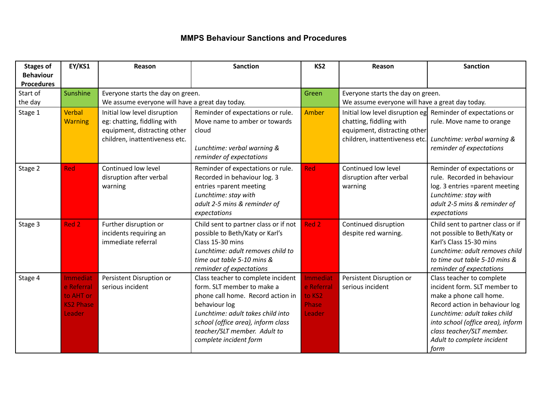## **MMPS Behaviour Sanctions and Procedures**

| <b>Stages of</b>  | <b>EY/KS1</b>                   | Reason                                                      | <b>Sanction</b>                                                    | KS <sub>2</sub> | Reason                                          | <b>Sanction</b>                                                                          |
|-------------------|---------------------------------|-------------------------------------------------------------|--------------------------------------------------------------------|-----------------|-------------------------------------------------|------------------------------------------------------------------------------------------|
| <b>Behaviour</b>  |                                 |                                                             |                                                                    |                 |                                                 |                                                                                          |
| <b>Procedures</b> |                                 |                                                             |                                                                    |                 |                                                 |                                                                                          |
| Start of          | Sunshine                        | Everyone starts the day on green.                           |                                                                    | Green           | Everyone starts the day on green.               |                                                                                          |
| the day           |                                 | We assume everyone will have a great day today.             |                                                                    |                 | We assume everyone will have a great day today. |                                                                                          |
| Stage 1           | <b>Verbal</b><br><b>Warning</b> | Initial low level disruption<br>eg: chatting, fiddling with | Reminder of expectations or rule.<br>Move name to amber or towards | <b>Amber</b>    | chatting, fiddling with                         | Initial low level disruption eg Reminder of expectations or<br>rule. Move name to orange |
|                   |                                 | equipment, distracting other                                | cloud                                                              |                 | equipment, distracting other                    |                                                                                          |
|                   |                                 | children, inattentiveness etc.                              |                                                                    |                 | children, inattentiveness etc.                  | Lunchtime: verbal warning &                                                              |
|                   |                                 |                                                             | Lunchtime: verbal warning &<br>reminder of expectations            |                 |                                                 | reminder of expectations                                                                 |
|                   |                                 |                                                             |                                                                    |                 |                                                 |                                                                                          |
| Stage 2           | <b>Red</b>                      | Continued low level                                         | Reminder of expectations or rule.                                  | <b>Red</b>      | Continued low level                             | Reminder of expectations or                                                              |
|                   |                                 | disruption after verbal                                     | Recorded in behaviour log. 3                                       |                 | disruption after verbal                         | rule. Recorded in behaviour                                                              |
|                   |                                 | warning                                                     | entries =parent meeting<br>Lunchtime: stay with                    |                 | warning                                         | log. 3 entries =parent meeting<br>Lunchtime: stay with                                   |
|                   |                                 |                                                             | adult 2-5 mins & reminder of                                       |                 |                                                 | adult 2-5 mins & reminder of                                                             |
|                   |                                 |                                                             | expectations                                                       |                 |                                                 | expectations                                                                             |
| Stage 3           | Red 2                           | Further disruption or                                       | Child sent to partner class or if not                              | Red 2           | Continued disruption                            | Child sent to partner class or if                                                        |
|                   |                                 | incidents requiring an                                      | possible to Beth/Katy or Karl's                                    |                 | despite red warning.                            | not possible to Beth/Katy or                                                             |
|                   |                                 | immediate referral                                          | Class 15-30 mins                                                   |                 |                                                 | Karl's Class 15-30 mins                                                                  |
|                   |                                 |                                                             | Lunchtime: adult removes child to                                  |                 |                                                 | Lunchtime: adult removes child                                                           |
|                   |                                 |                                                             | time out table 5-10 mins &                                         |                 |                                                 | to time out table 5-10 mins &                                                            |
|                   |                                 |                                                             | reminder of expectations                                           |                 |                                                 | reminder of expectations                                                                 |
| Stage 4           | <b>Immediat</b>                 | Persistent Disruption or                                    | Class teacher to complete incident                                 | <b>Immediat</b> | Persistent Disruption or                        | Class teacher to complete                                                                |
|                   | e Referral                      | serious incident                                            | form. SLT member to make a                                         | e Referral      | serious incident                                | incident form. SLT member to                                                             |
|                   | to AHT or                       |                                                             | phone call home. Record action in                                  | to KS2          |                                                 | make a phone call home.                                                                  |
|                   | <b>KS2 Phase</b>                |                                                             | behaviour log                                                      | Phase           |                                                 | Record action in behaviour log                                                           |
|                   | Leader                          |                                                             | Lunchtime: adult takes child into                                  | Leader          |                                                 | Lunchtime: adult takes child                                                             |
|                   |                                 |                                                             | school (office area), inform class                                 |                 |                                                 | into school (office area), inform                                                        |
|                   |                                 |                                                             | teacher/SLT member. Adult to                                       |                 |                                                 | class teacher/SLT member.                                                                |
|                   |                                 |                                                             | complete incident form                                             |                 |                                                 | Adult to complete incident                                                               |
|                   |                                 |                                                             |                                                                    |                 |                                                 | form                                                                                     |